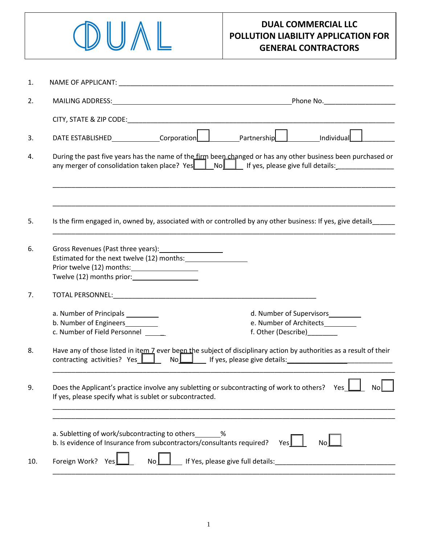

| 1.  |                                                                                                                                                                 |                                                                                                                                                                                                                               |  |  |  |
|-----|-----------------------------------------------------------------------------------------------------------------------------------------------------------------|-------------------------------------------------------------------------------------------------------------------------------------------------------------------------------------------------------------------------------|--|--|--|
| 2.  |                                                                                                                                                                 | MAILING ADDRESS: North and the state of the state of the state of the state of the state of the state of the state of the state of the state of the state of the state of the state of the state of the state of the state of |  |  |  |
|     |                                                                                                                                                                 |                                                                                                                                                                                                                               |  |  |  |
| 3.  |                                                                                                                                                                 | Individual                                                                                                                                                                                                                    |  |  |  |
| 4.  |                                                                                                                                                                 | During the past five years has the name of the firm been changed or has any other business been purchased or                                                                                                                  |  |  |  |
|     |                                                                                                                                                                 |                                                                                                                                                                                                                               |  |  |  |
| 5.  |                                                                                                                                                                 | Is the firm engaged in, owned by, associated with or controlled by any other business: If yes, give details                                                                                                                   |  |  |  |
| 6.  | Gross Revenues (Past three years): _____________________                                                                                                        |                                                                                                                                                                                                                               |  |  |  |
| 7.  |                                                                                                                                                                 |                                                                                                                                                                                                                               |  |  |  |
|     | a. Number of Principals<br>b. Number of Engineers_________<br>c. Number of Field Personnel                                                                      | d. Number of Supervisors__________<br>e. Number of Architects<br>f. Other (Describe)________                                                                                                                                  |  |  |  |
| 8.  |                                                                                                                                                                 | Have any of those listed in item 7 ever been the subject of disciplinary action by authorities as a result of their                                                                                                           |  |  |  |
| 9.  | Does the Applicant's practice involve any subletting or subcontracting of work to others? Yes<br>Nol<br>If yes, please specify what is sublet or subcontracted. |                                                                                                                                                                                                                               |  |  |  |
|     |                                                                                                                                                                 |                                                                                                                                                                                                                               |  |  |  |
|     | a. Subletting of work/subcontracting to others<br>b. Is evidence of Insurance from subcontractors/consultants required?                                         | $\%$<br>No<br>Yes                                                                                                                                                                                                             |  |  |  |
| 10. | Foreign Work?<br>No<br><b>Yes</b>                                                                                                                               |                                                                                                                                                                                                                               |  |  |  |
|     |                                                                                                                                                                 |                                                                                                                                                                                                                               |  |  |  |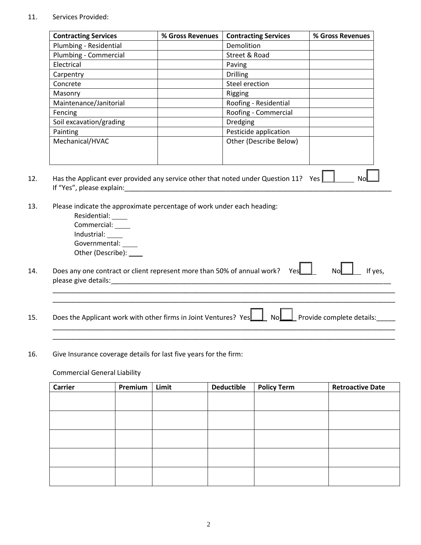## 11. Services Provided:

|                                                                                                                         | % Gross Revenues | <b>Contracting Services</b> | % Gross Revenues |  |  |  |  |
|-------------------------------------------------------------------------------------------------------------------------|------------------|-----------------------------|------------------|--|--|--|--|
| Plumbing - Residential                                                                                                  |                  | Demolition                  |                  |  |  |  |  |
| Plumbing - Commercial                                                                                                   |                  | Street & Road               |                  |  |  |  |  |
| Electrical                                                                                                              |                  | Paving                      |                  |  |  |  |  |
| Carpentry                                                                                                               |                  | <b>Drilling</b>             |                  |  |  |  |  |
| Concrete                                                                                                                |                  | Steel erection              |                  |  |  |  |  |
| Masonry                                                                                                                 |                  | Rigging                     |                  |  |  |  |  |
| Maintenance/Janitorial                                                                                                  |                  | Roofing - Residential       |                  |  |  |  |  |
| Fencing                                                                                                                 |                  | Roofing - Commercial        |                  |  |  |  |  |
| Soil excavation/grading                                                                                                 |                  | <b>Dredging</b>             |                  |  |  |  |  |
| Painting                                                                                                                |                  | Pesticide application       |                  |  |  |  |  |
| Mechanical/HVAC                                                                                                         |                  | Other (Describe Below)      |                  |  |  |  |  |
| Has the Applicant ever provided any service other that noted under Question 11? Yes $\Box$<br>If "Yes", please explain: |                  |                             |                  |  |  |  |  |
|                                                                                                                         |                  |                             |                  |  |  |  |  |

- 14. Does any one contract or client represent more than 50% of annual work? Yes  $\Box$  No I fyes, please give details: \_\_\_\_\_\_\_\_\_\_\_\_\_\_\_\_\_\_\_\_\_\_\_\_\_\_\_\_\_\_\_\_\_\_\_\_\_\_\_\_\_\_\_\_\_\_\_\_\_\_\_\_\_\_\_\_\_\_\_\_\_\_\_\_\_\_\_\_\_\_\_\_\_\_
- 15. Does the Applicant work with other firms in Joint Ventures? Yes No Provide complete details:

\_\_\_\_\_\_\_\_\_\_\_\_\_\_\_\_\_\_\_\_\_\_\_\_\_\_\_\_\_\_\_\_\_\_\_\_\_\_\_\_\_\_\_\_\_\_\_\_\_\_\_\_\_\_\_\_\_\_\_\_\_\_\_\_\_\_\_\_\_\_\_\_\_\_\_\_\_\_\_\_\_\_\_\_\_\_\_\_\_\_\_ \_\_\_\_\_\_\_\_\_\_\_\_\_\_\_\_\_\_\_\_\_\_\_\_\_\_\_\_\_\_\_\_\_\_\_\_\_\_\_\_\_\_\_\_\_\_\_\_\_\_\_\_\_\_\_\_\_\_\_\_\_\_\_\_\_\_\_\_\_\_\_\_\_\_\_\_\_\_\_\_\_\_\_\_\_\_\_\_\_\_\_

\_\_\_\_\_\_\_\_\_\_\_\_\_\_\_\_\_\_\_\_\_\_\_\_\_\_\_\_\_\_\_\_\_\_\_\_\_\_\_\_\_\_\_\_\_\_\_\_\_\_\_\_\_\_\_\_\_\_\_\_\_\_\_\_\_\_\_\_\_\_\_\_\_\_\_\_\_\_\_\_\_\_\_\_\_\_\_\_\_\_\_ \_\_\_\_\_\_\_\_\_\_\_\_\_\_\_\_\_\_\_\_\_\_\_\_\_\_\_\_\_\_\_\_\_\_\_\_\_\_\_\_\_\_\_\_\_\_\_\_\_\_\_\_\_\_\_\_\_\_\_\_\_\_\_\_\_\_\_\_\_\_\_\_\_\_\_\_\_\_\_\_\_\_\_\_\_\_\_\_\_\_\_

## 16. Give Insurance coverage details for last five years for the firm:

Commercial General Liability

| <b>Carrier</b> | Premium | Limit | <b>Deductible</b> | <b>Policy Term</b> | <b>Retroactive Date</b> |
|----------------|---------|-------|-------------------|--------------------|-------------------------|
|                |         |       |                   |                    |                         |
|                |         |       |                   |                    |                         |
|                |         |       |                   |                    |                         |
|                |         |       |                   |                    |                         |
|                |         |       |                   |                    |                         |
|                |         |       |                   |                    |                         |
|                |         |       |                   |                    |                         |
|                |         |       |                   |                    |                         |
|                |         |       |                   |                    |                         |
|                |         |       |                   |                    |                         |